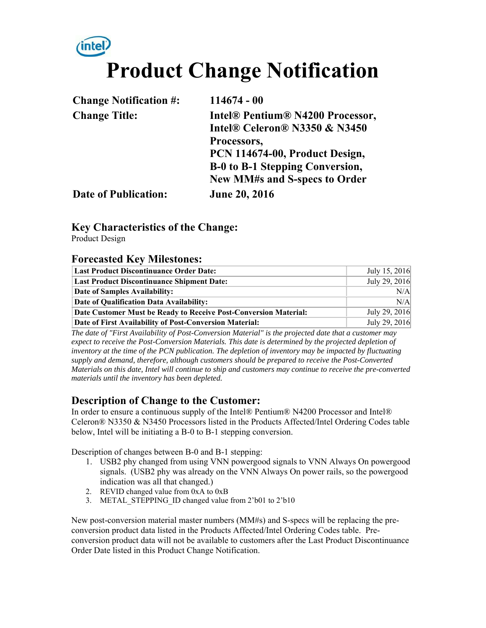# *inte* **Product Change Notification**

| <b>Change Notification #:</b> | $114674 - 00$                    |
|-------------------------------|----------------------------------|
| <b>Change Title:</b>          | Intel® Pentium® N4200 Processor, |
|                               | Intel® Celeron® N3350 & N3450    |
|                               | Processors,                      |
|                               | PCN 114674-00, Product Design,   |
|                               | B-0 to B-1 Stepping Conversion,  |
|                               | New MM#s and S-specs to Order    |
| <b>Date of Publication:</b>   | <b>June 20, 2016</b>             |

### **Key Characteristics of the Change:**

Product Design

#### **Forecasted Key Milestones:**

| <b>Last Product Discontinuance Order Date:</b>                   | July 15, 2016 |
|------------------------------------------------------------------|---------------|
| <b>Last Product Discontinuance Shipment Date:</b>                | July 29, 2016 |
| Date of Samples Availability:                                    | N/A           |
| Date of Qualification Data Availability:                         | N/A           |
| Date Customer Must be Ready to Receive Post-Conversion Material: | July 29, 2016 |
| Date of First Availability of Post-Conversion Material:          | July 29, 2016 |

*The date of "First Availability of Post-Conversion Material" is the projected date that a customer may*  expect to receive the Post-Conversion Materials. This date is determined by the projected depletion of *inventory at the time of the PCN publication. The depletion of inventory may be impacted by fluctuating supply and demand, therefore, although customers should be prepared to receive the Post-Converted Materials on this date, Intel will continue to ship and customers may continue to receive the pre-converted materials until the inventory has been depleted.*

### **Description of Change to the Customer:**

In order to ensure a continuous supply of the Intel® Pentium® N4200 Processor and Intel® Celeron® N3350 & N3450 Processors listed in the Products Affected/Intel Ordering Codes table below, Intel will be initiating a B-0 to B-1 stepping conversion.

Description of changes between B-0 and B-1 stepping:

- 1. USB2 phy changed from using VNN powergood signals to VNN Always On powergood signals. (USB2 phy was already on the VNN Always On power rails, so the powergood indication was all that changed.)
- 2. REVID changed value from 0xA to 0xB
- 3. METAL\_STEPPING\_ID changed value from 2'b01 to 2'b10

New post-conversion material master numbers (MM#s) and S-specs will be replacing the preconversion product data listed in the Products Affected/Intel Ordering Codes table. Preconversion product data will not be available to customers after the Last Product Discontinuance Order Date listed in this Product Change Notification.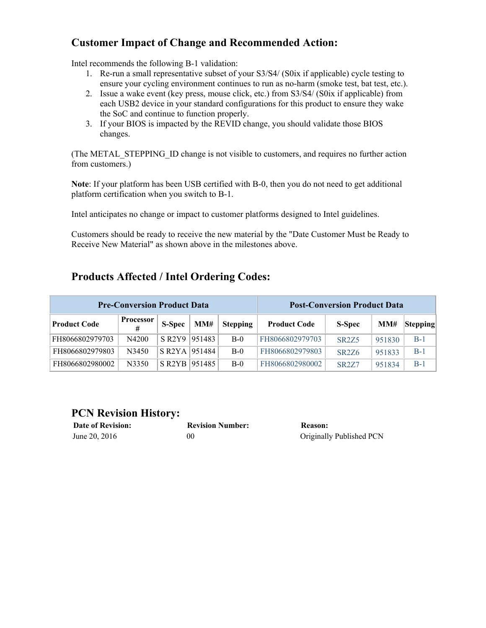## **Customer Impact of Change and Recommended Action:**

Intel recommends the following B-1 validation:

- 1. Re-run a small representative subset of your S3/S4/ (S0ix if applicable) cycle testing to ensure your cycling environment continues to run as no-harm (smoke test, bat test, etc.).
- 2. Issue a wake event (key press, mouse click, etc.) from S3/S4/ (S0ix if applicable) from each USB2 device in your standard configurations for this product to ensure they wake the SoC and continue to function properly.
- 3. If your BIOS is impacted by the REVID change, you should validate those BIOS changes.

(The METAL\_STEPPING\_ID change is not visible to customers, and requires no further action from customers.)

**Note**: If your platform has been USB certified with B-0, then you do not need to get additional platform certification when you switch to B-1.

Intel anticipates no change or impact to customer platforms designed to Intel guidelines.

Customers should be ready to receive the new material by the "Date Customer Must be Ready to Receive New Material" as shown above in the milestones above.

# **Products Affected / Intel Ordering Codes:**

| <b>Pre-Conversion Product Data</b> |                       |                     | <b>Post-Conversion Product Data</b> |                 |                     |                    |        |          |
|------------------------------------|-----------------------|---------------------|-------------------------------------|-----------------|---------------------|--------------------|--------|----------|
| <b>Product Code</b>                | <b>Processor</b><br># | S-Spec              | MM#                                 | <b>Stepping</b> | <b>Product Code</b> | <b>S-Spec</b>      | MM#    | Stepping |
| FH8066802979703                    | N4200                 | $S$ R2Y9            | 951483                              | $B-0$           | FH8066802979703     | <b>SR2Z5</b>       | 951830 | $B-1$    |
| FH8066802979803                    | N3450                 | $S$ R2YA            | 951484                              | $B-0$           | FH8066802979803     | <b>SR2Z6</b>       | 951833 | $B-1$    |
| FH8066802980002                    | N3350                 | S R <sub>2</sub> YB | 951485                              | $B-0$           | FH8066802980002     | SR <sub>2</sub> Z7 | 951834 | $B-1$    |

#### **PCN Revision History:**

| <b>Date of Revision:</b> | <b>Revision Number:</b> | <b>Reason:</b> |
|--------------------------|-------------------------|----------------|
| June 20, 2016            | 00                      | Originall      |

Originally Published PCN